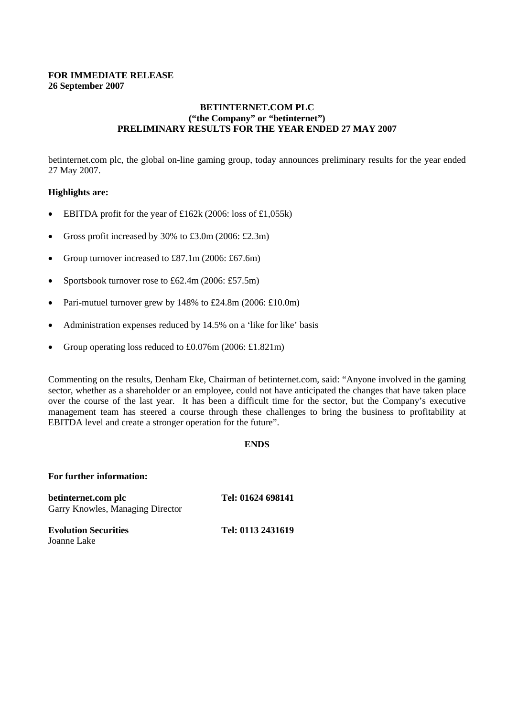# **FOR IMMEDIATE RELEASE 26 September 2007**

# **BETINTERNET.COM PLC ("the Company" or "betinternet") PRELIMINARY RESULTS FOR THE YEAR ENDED 27 MAY 2007**

betinternet.com plc, the global on-line gaming group, today announces preliminary results for the year ended 27 May 2007.

# **Highlights are:**

- EBITDA profit for the year of £162k (2006: loss of £1,055k)
- Gross profit increased by 30% to £3.0m (2006: £2.3m)
- Group turnover increased to £87.1m (2006: £67.6m)
- Sportsbook turnover rose to £62.4m (2006: £57.5m)
- Pari-mutuel turnover grew by 148% to £24.8m (2006: £10.0m)
- Administration expenses reduced by 14.5% on a 'like for like' basis
- Group operating loss reduced to  $\text{\pounds}0.076\text{m}$  (2006:  $\text{\pounds}1.821\text{m}$ )

Commenting on the results, Denham Eke, Chairman of betinternet.com, said: "Anyone involved in the gaming sector, whether as a shareholder or an employee, could not have anticipated the changes that have taken place over the course of the last year. It has been a difficult time for the sector, but the Company's executive management team has steered a course through these challenges to bring the business to profitability at EBITDA level and create a stronger operation for the future".

# **ENDS**

### **For further information:**

**betinternet.com plc Tel: 01624 698141** Garry Knowles, Managing Director

**Evolution Securities Tel: 0113 2431619** Joanne Lake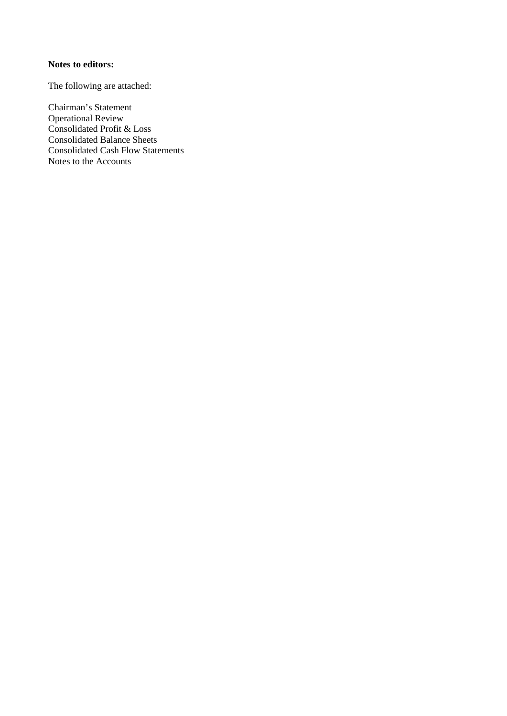# **Notes to editors:**

The following are attached:

Chairman's Statement Operational Review Consolidated Profit & Loss Consolidated Balance Sheets Consolidated Cash Flow Statements Notes to the Accounts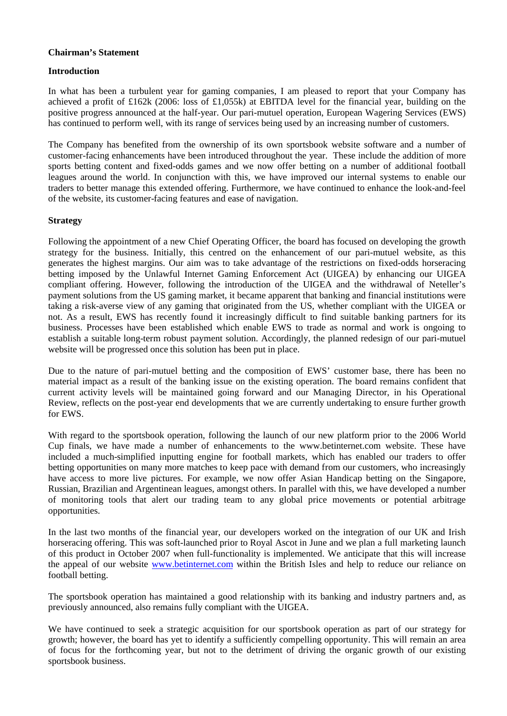# **Chairman's Statement**

# **Introduction**

In what has been a turbulent year for gaming companies, I am pleased to report that your Company has achieved a profit of £162k (2006: loss of £1,055k) at EBITDA level for the financial year, building on the positive progress announced at the half-year. Our pari-mutuel operation, European Wagering Services (EWS) has continued to perform well, with its range of services being used by an increasing number of customers.

The Company has benefited from the ownership of its own sportsbook website software and a number of customer-facing enhancements have been introduced throughout the year. These include the addition of more sports betting content and fixed-odds games and we now offer betting on a number of additional football leagues around the world. In conjunction with this, we have improved our internal systems to enable our traders to better manage this extended offering. Furthermore, we have continued to enhance the look-and-feel of the website, its customer-facing features and ease of navigation.

# **Strategy**

Following the appointment of a new Chief Operating Officer, the board has focused on developing the growth strategy for the business. Initially, this centred on the enhancement of our pari-mutuel website, as this generates the highest margins. Our aim was to take advantage of the restrictions on fixed-odds horseracing betting imposed by the Unlawful Internet Gaming Enforcement Act (UIGEA) by enhancing our UIGEA compliant offering. However, following the introduction of the UIGEA and the withdrawal of Neteller's payment solutions from the US gaming market, it became apparent that banking and financial institutions were taking a risk-averse view of any gaming that originated from the US, whether compliant with the UIGEA or not. As a result, EWS has recently found it increasingly difficult to find suitable banking partners for its business. Processes have been established which enable EWS to trade as normal and work is ongoing to establish a suitable long-term robust payment solution. Accordingly, the planned redesign of our pari-mutuel website will be progressed once this solution has been put in place.

Due to the nature of pari-mutuel betting and the composition of EWS' customer base, there has been no material impact as a result of the banking issue on the existing operation. The board remains confident that current activity levels will be maintained going forward and our Managing Director, in his Operational Review, reflects on the post-year end developments that we are currently undertaking to ensure further growth for EWS.

With regard to the sportsbook operation, following the launch of our new platform prior to the 2006 World Cup finals, we have made a number of enhancements to the www.betinternet.com website. These have included a much-simplified inputting engine for football markets, which has enabled our traders to offer betting opportunities on many more matches to keep pace with demand from our customers, who increasingly have access to more live pictures. For example, we now offer Asian Handicap betting on the Singapore, Russian, Brazilian and Argentinean leagues, amongst others. In parallel with this, we have developed a number of monitoring tools that alert our trading team to any global price movements or potential arbitrage opportunities.

In the last two months of the financial year, our developers worked on the integration of our UK and Irish horseracing offering. This was soft-launched prior to Royal Ascot in June and we plan a full marketing launch of this product in October 2007 when full-functionality is implemented. We anticipate that this will increase the appeal of our website www.betinternet.com within the British Isles and help to reduce our reliance on football betting.

The sportsbook operation has maintained a good relationship with its banking and industry partners and, as previously announced, also remains fully compliant with the UIGEA.

We have continued to seek a strategic acquisition for our sportsbook operation as part of our strategy for growth; however, the board has yet to identify a sufficiently compelling opportunity. This will remain an area of focus for the forthcoming year, but not to the detriment of driving the organic growth of our existing sportsbook business.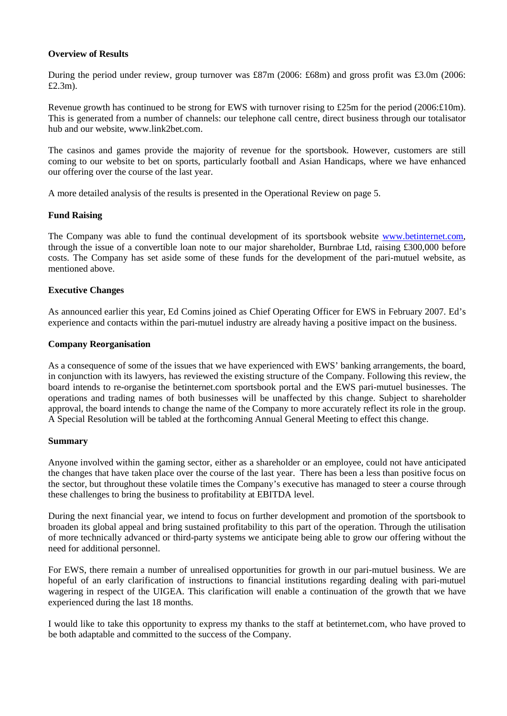# **Overview of Results**

During the period under review, group turnover was £87m (2006: £68m) and gross profit was £3.0m (2006: £2.3m).

Revenue growth has continued to be strong for EWS with turnover rising to £25m for the period (2006:£10m). This is generated from a number of channels: our telephone call centre, direct business through our totalisator hub and our website, www.link2bet.com.

The casinos and games provide the majority of revenue for the sportsbook. However, customers are still coming to our website to bet on sports, particularly football and Asian Handicaps, where we have enhanced our offering over the course of the last year.

A more detailed analysis of the results is presented in the Operational Review on page 5.

# **Fund Raising**

The Company was able to fund the continual development of its sportsbook website www.betinternet.com, through the issue of a convertible loan note to our major shareholder, Burnbrae Ltd, raising £300,000 before costs. The Company has set aside some of these funds for the development of the pari-mutuel website, as mentioned above.

# **Executive Changes**

As announced earlier this year, Ed Comins joined as Chief Operating Officer for EWS in February 2007. Ed's experience and contacts within the pari-mutuel industry are already having a positive impact on the business.

# **Company Reorganisation**

As a consequence of some of the issues that we have experienced with EWS' banking arrangements, the board, in conjunction with its lawyers, has reviewed the existing structure of the Company. Following this review, the board intends to re-organise the betinternet.com sportsbook portal and the EWS pari-mutuel businesses. The operations and trading names of both businesses will be unaffected by this change. Subject to shareholder approval, the board intends to change the name of the Company to more accurately reflect its role in the group. A Special Resolution will be tabled at the forthcoming Annual General Meeting to effect this change.

# **Summary**

Anyone involved within the gaming sector, either as a shareholder or an employee, could not have anticipated the changes that have taken place over the course of the last year. There has been a less than positive focus on the sector, but throughout these volatile times the Company's executive has managed to steer a course through these challenges to bring the business to profitability at EBITDA level.

During the next financial year, we intend to focus on further development and promotion of the sportsbook to broaden its global appeal and bring sustained profitability to this part of the operation. Through the utilisation of more technically advanced or third-party systems we anticipate being able to grow our offering without the need for additional personnel.

For EWS, there remain a number of unrealised opportunities for growth in our pari-mutuel business. We are hopeful of an early clarification of instructions to financial institutions regarding dealing with pari-mutuel wagering in respect of the UIGEA. This clarification will enable a continuation of the growth that we have experienced during the last 18 months.

I would like to take this opportunity to express my thanks to the staff at betinternet.com, who have proved to be both adaptable and committed to the success of the Company.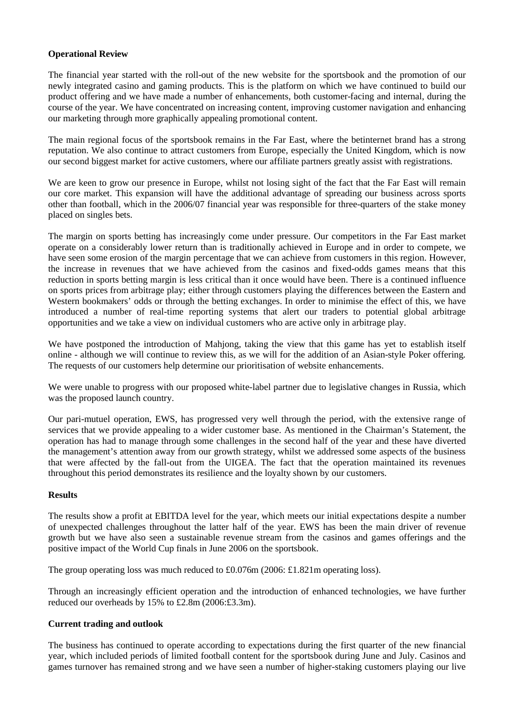# **Operational Review**

The financial year started with the roll-out of the new website for the sportsbook and the promotion of our newly integrated casino and gaming products. This is the platform on which we have continued to build our product offering and we have made a number of enhancements, both customer-facing and internal, during the course of the year. We have concentrated on increasing content, improving customer navigation and enhancing our marketing through more graphically appealing promotional content.

The main regional focus of the sportsbook remains in the Far East, where the betinternet brand has a strong reputation. We also continue to attract customers from Europe, especially the United Kingdom, which is now our second biggest market for active customers, where our affiliate partners greatly assist with registrations.

We are keen to grow our presence in Europe, whilst not losing sight of the fact that the Far East will remain our core market. This expansion will have the additional advantage of spreading our business across sports other than football, which in the 2006/07 financial year was responsible for three-quarters of the stake money placed on singles bets.

The margin on sports betting has increasingly come under pressure. Our competitors in the Far East market operate on a considerably lower return than is traditionally achieved in Europe and in order to compete, we have seen some erosion of the margin percentage that we can achieve from customers in this region. However, the increase in revenues that we have achieved from the casinos and fixed-odds games means that this reduction in sports betting margin is less critical than it once would have been. There is a continued influence on sports prices from arbitrage play; either through customers playing the differences between the Eastern and Western bookmakers' odds or through the betting exchanges. In order to minimise the effect of this, we have introduced a number of real-time reporting systems that alert our traders to potential global arbitrage opportunities and we take a view on individual customers who are active only in arbitrage play.

We have postponed the introduction of Mahjong, taking the view that this game has yet to establish itself online - although we will continue to review this, as we will for the addition of an Asian-style Poker offering. The requests of our customers help determine our prioritisation of website enhancements.

We were unable to progress with our proposed white-label partner due to legislative changes in Russia, which was the proposed launch country.

Our pari-mutuel operation, EWS, has progressed very well through the period, with the extensive range of services that we provide appealing to a wider customer base. As mentioned in the Chairman's Statement, the operation has had to manage through some challenges in the second half of the year and these have diverted the management's attention away from our growth strategy, whilst we addressed some aspects of the business that were affected by the fall-out from the UIGEA. The fact that the operation maintained its revenues throughout this period demonstrates its resilience and the loyalty shown by our customers.

# **Results**

The results show a profit at EBITDA level for the year, which meets our initial expectations despite a number of unexpected challenges throughout the latter half of the year. EWS has been the main driver of revenue growth but we have also seen a sustainable revenue stream from the casinos and games offerings and the positive impact of the World Cup finals in June 2006 on the sportsbook.

The group operating loss was much reduced to £0.076m (2006: £1.821m operating loss).

Through an increasingly efficient operation and the introduction of enhanced technologies, we have further reduced our overheads by 15% to £2.8m (2006:£3.3m).

# **Current trading and outlook**

The business has continued to operate according to expectations during the first quarter of the new financial year, which included periods of limited football content for the sportsbook during June and July. Casinos and games turnover has remained strong and we have seen a number of higher-staking customers playing our live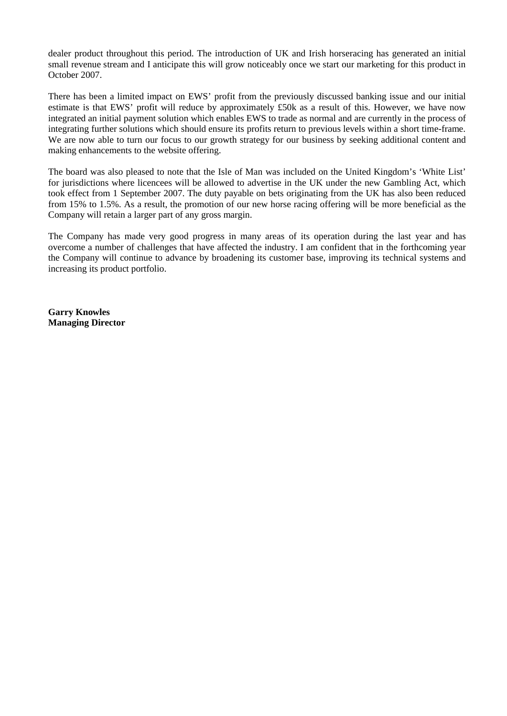dealer product throughout this period. The introduction of UK and Irish horseracing has generated an initial small revenue stream and I anticipate this will grow noticeably once we start our marketing for this product in October 2007.

There has been a limited impact on EWS' profit from the previously discussed banking issue and our initial estimate is that EWS' profit will reduce by approximately £50k as a result of this. However, we have now integrated an initial payment solution which enables EWS to trade as normal and are currently in the process of integrating further solutions which should ensure its profits return to previous levels within a short time-frame. We are now able to turn our focus to our growth strategy for our business by seeking additional content and making enhancements to the website offering.

The board was also pleased to note that the Isle of Man was included on the United Kingdom's 'White List' for jurisdictions where licencees will be allowed to advertise in the UK under the new Gambling Act, which took effect from 1 September 2007. The duty payable on bets originating from the UK has also been reduced from 15% to 1.5%. As a result, the promotion of our new horse racing offering will be more beneficial as the Company will retain a larger part of any gross margin.

The Company has made very good progress in many areas of its operation during the last year and has overcome a number of challenges that have affected the industry. I am confident that in the forthcoming year the Company will continue to advance by broadening its customer base, improving its technical systems and increasing its product portfolio.

**Garry Knowles Managing Director**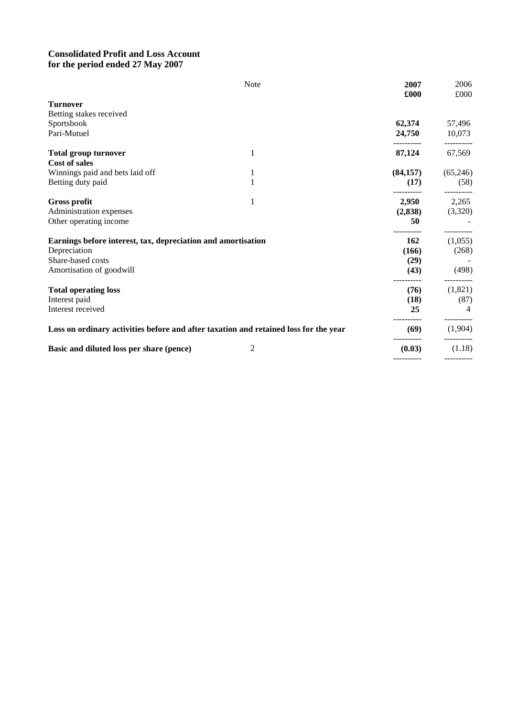# **Consolidated Profit and Loss Account for the period ended 27 May 2007**

|                                                                                      | Note | 2007<br>£000 | 2006<br>£000          |
|--------------------------------------------------------------------------------------|------|--------------|-----------------------|
| <b>Turnover</b>                                                                      |      |              |                       |
| Betting stakes received                                                              |      |              |                       |
| Sportsbook                                                                           |      | 62,374       | 57,496                |
| Pari-Mutuel                                                                          |      | 24,750       | 10,073                |
| <b>Total group turnover</b>                                                          | 1    | 87,124       | 67,569                |
| <b>Cost of sales</b>                                                                 |      |              |                       |
| Winnings paid and bets laid off                                                      | 1    | (84,157)     | (65,246)              |
| Betting duty paid                                                                    | 1    | (17)         | (58)<br>----------    |
| <b>Gross profit</b>                                                                  | 1    | 2,950        | 2,265                 |
| Administration expenses                                                              |      | (2,838)      | (3,320)               |
| Other operating income                                                               |      | 50           |                       |
| Earnings before interest, tax, depreciation and amortisation                         |      | 162          | (1,055)               |
| Depreciation                                                                         |      | (166)        | (268)                 |
| Share-based costs                                                                    |      | (29)         |                       |
| Amortisation of goodwill                                                             |      | (43)         | (498)                 |
| <b>Total operating loss</b>                                                          |      | (76)         | (1,821)               |
| Interest paid                                                                        |      | (18)         | (87)                  |
| Interest received                                                                    |      | 25           |                       |
| Loss on ordinary activities before and after taxation and retained loss for the year |      | (69)         | ----------<br>(1,904) |
| Basic and diluted loss per share (pence)                                             | 2    | (0.03)       | (1.18)                |
|                                                                                      |      |              |                       |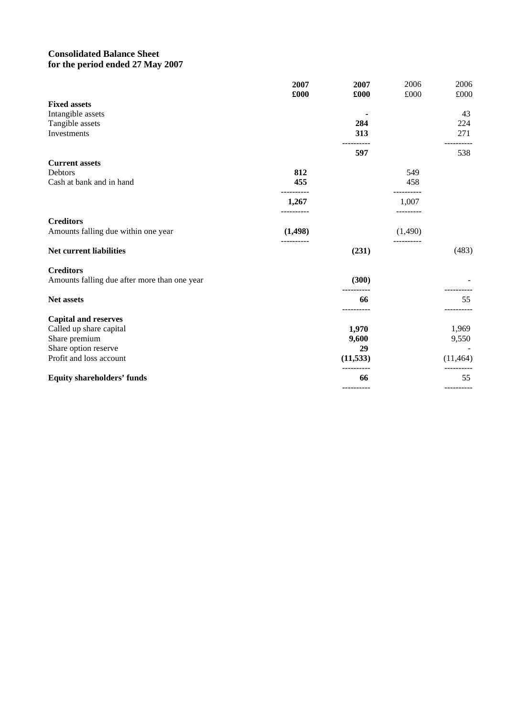# **Consolidated Balance Sheet for the period ended 27 May 2007**

|                                              | 2007        | 2007       | 2006      | 2006       |
|----------------------------------------------|-------------|------------|-----------|------------|
|                                              | £000        | £000       | £000      | £000       |
| <b>Fixed assets</b>                          |             |            |           |            |
| Intangible assets                            |             |            |           | 43         |
| Tangible assets                              |             | 284        |           | 224        |
| Investments                                  |             | 313        |           | 271        |
|                                              |             | 597        |           | 538        |
| <b>Current assets</b>                        |             |            |           |            |
| Debtors                                      | 812         |            | 549       |            |
| Cash at bank and in hand                     | 455         |            | 458       |            |
|                                              | 1,267       |            | 1,007     |            |
| <b>Creditors</b>                             | ----------- |            | --------- |            |
| Amounts falling due within one year          | (1,498)     |            | (1,490)   |            |
| Net current liabilities                      |             | (231)      |           | (483)      |
| <b>Creditors</b>                             |             |            |           |            |
| Amounts falling due after more than one year |             | (300)      |           |            |
| Net assets                                   |             | 66         |           | 55         |
| <b>Capital and reserves</b>                  |             |            |           |            |
| Called up share capital                      |             | 1,970      |           | 1,969      |
| Share premium                                |             | 9,600      |           | 9,550      |
| Share option reserve                         |             | 29         |           |            |
| Profit and loss account                      |             | (11, 533)  |           | (11, 464)  |
| <b>Equity shareholders' funds</b>            |             | 66         |           | 55         |
|                                              |             | ---------- |           | ---------- |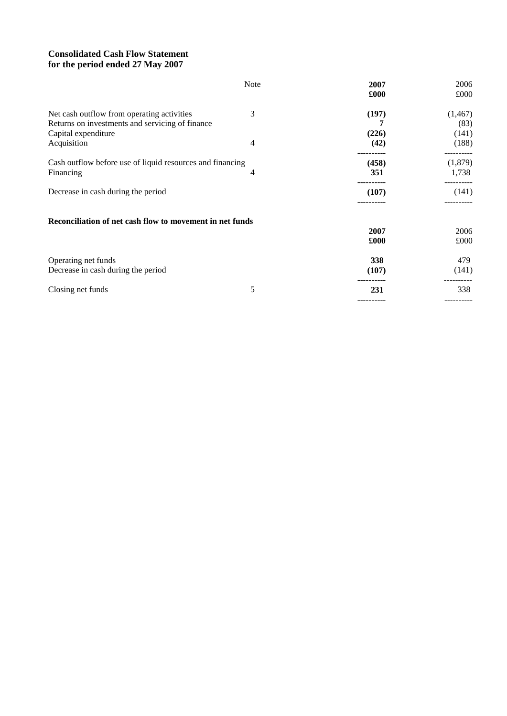# **Consolidated Cash Flow Statement for the period ended 27 May 2007**

|                                                           | Note | 2007  | 2006      |
|-----------------------------------------------------------|------|-------|-----------|
|                                                           |      | £000  | £000      |
| Net cash outflow from operating activities                | 3    | (197) | (1, 467)  |
| Returns on investments and servicing of finance           |      |       | (83)      |
| Capital expenditure                                       |      | (226) | (141)     |
| Acquisition                                               | 4    | (42)  | (188)     |
| Cash outflow before use of liquid resources and financing |      | (458) | (1,879)   |
| Financing                                                 | 4    | 351   | 1,738     |
| Decrease in cash during the period                        |      | (107) | (141)     |
|                                                           |      |       |           |
| Reconciliation of net cash flow to movement in net funds  |      |       |           |
|                                                           |      | 2007  | 2006      |
|                                                           |      | £000  | £000      |
| Operating net funds                                       |      | 338   | 479       |
| Decrease in cash during the period                        |      | (107) | (141)     |
| Closing net funds                                         | 5    | 231   | 338       |
|                                                           |      |       | --------- |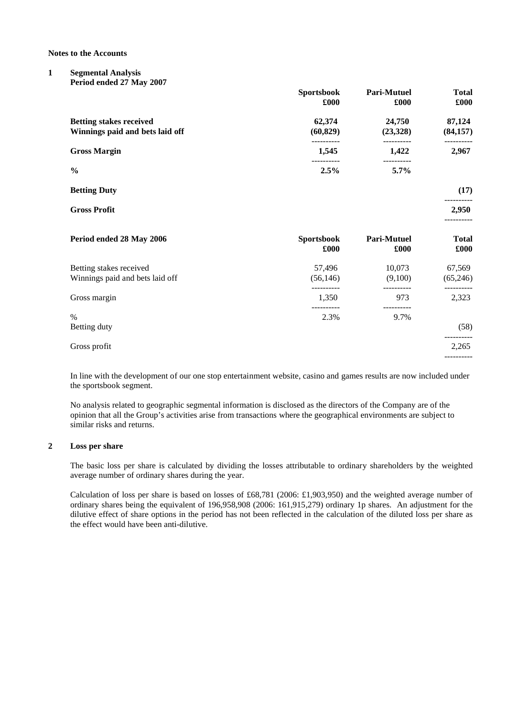**Notes to the Accounts**

#### **1 Segmental Analysis Period ended 27 May 2007**

|                                                                   | <b>Sportsbook</b><br>£000 | <b>Pari-Mutuel</b><br>£000 | <b>Total</b><br>£000 |
|-------------------------------------------------------------------|---------------------------|----------------------------|----------------------|
| <b>Betting stakes received</b><br>Winnings paid and bets laid off | 62,374<br>(60, 829)       | 24,750<br>(23,328)         | 87,124<br>(84, 157)  |
| <b>Gross Margin</b>                                               | ----------<br>1,545       | ----------<br>1,422        | 2,967                |
| $\frac{0}{0}$                                                     | 2.5%                      | 5.7%                       |                      |
| <b>Betting Duty</b>                                               |                           |                            | (17)                 |
| <b>Gross Profit</b>                                               |                           |                            | 2,950                |
| Period ended 28 May 2006                                          | <b>Sportsbook</b><br>£000 | Pari-Mutuel<br>£000        | <b>Total</b><br>£000 |
| Betting stakes received<br>Winnings paid and bets laid off        | 57,496<br>(56, 146)       | 10,073<br>(9,100)          | 67,569<br>(65,246)   |
| Gross margin                                                      | 1,350                     | 973                        | 2,323                |
| $\%$<br>Betting duty                                              | 2.3%                      | 9.7%                       | (58)                 |
| Gross profit                                                      |                           |                            | 2,265                |
|                                                                   |                           |                            |                      |

In line with the development of our one stop entertainment website, casino and games results are now included under the sportsbook segment.

No analysis related to geographic segmental information is disclosed as the directors of the Company are of the opinion that all the Group's activities arise from transactions where the geographical environments are subject to similar risks and returns.

#### **2 Loss per share**

The basic loss per share is calculated by dividing the losses attributable to ordinary shareholders by the weighted average number of ordinary shares during the year.

Calculation of loss per share is based on losses of £68,781 (2006: £1,903,950) and the weighted average number of ordinary shares being the equivalent of 196,958,908 (2006: 161,915,279) ordinary 1p shares. An adjustment for the dilutive effect of share options in the period has not been reflected in the calculation of the diluted loss per share as the effect would have been anti-dilutive.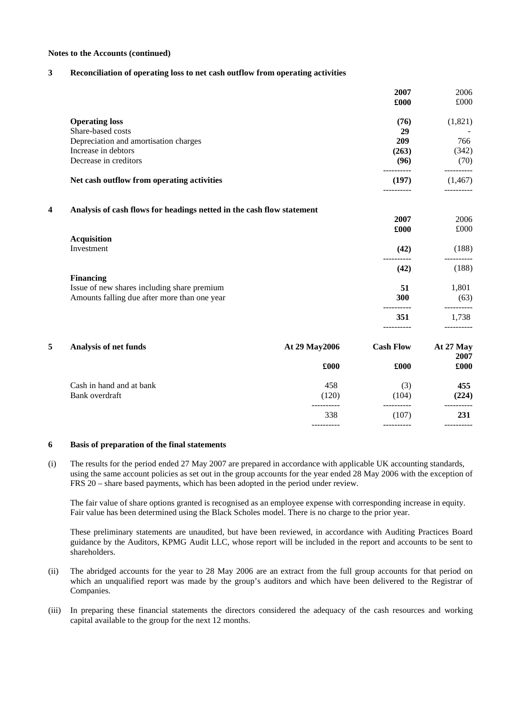#### **Notes to the Accounts (continued)**

#### **3 Reconciliation of operating loss to net cash outflow from operating activities**

|                                            |                                                                       |                    | 2007<br>£000        | 2006<br>£000       |
|--------------------------------------------|-----------------------------------------------------------------------|--------------------|---------------------|--------------------|
|                                            | <b>Operating loss</b>                                                 |                    | (76)                | (1,821)            |
|                                            | Share-based costs                                                     |                    | 29                  |                    |
|                                            | Depreciation and amortisation charges                                 |                    | 209                 | 766                |
|                                            | Increase in debtors                                                   |                    | (263)               | (342)              |
|                                            | Decrease in creditors                                                 |                    | (96)                | (70)<br>---------- |
|                                            | Net cash outflow from operating activities                            |                    | (197)<br>-------    | (1, 467)           |
| 4                                          | Analysis of cash flows for headings netted in the cash flow statement |                    |                     |                    |
|                                            |                                                                       |                    | 2007                | 2006               |
|                                            |                                                                       |                    | £000                | £000               |
|                                            | <b>Acquisition</b>                                                    |                    |                     |                    |
|                                            | Investment                                                            |                    | (42)<br>----------  | (188)              |
|                                            |                                                                       |                    | (42)                | (188)              |
|                                            | <b>Financing</b>                                                      |                    |                     |                    |
|                                            | Issue of new shares including share premium                           |                    | 51                  | 1,801              |
|                                            | Amounts falling due after more than one year                          |                    | 300                 | (63)               |
|                                            |                                                                       |                    | 351                 | 1,738              |
| 5                                          | Analysis of net funds                                                 | At 29 May 2006     | <b>Cash Flow</b>    | At 27 May          |
|                                            |                                                                       |                    |                     | 2007               |
|                                            |                                                                       | £000               | £000                | £000               |
| Cash in hand and at bank<br>Bank overdraft |                                                                       | 458                | (3)                 | 455                |
|                                            |                                                                       | (120)              | (104)               | (224)              |
|                                            |                                                                       | -----------<br>338 | __________<br>(107) | ----------<br>231  |
|                                            |                                                                       |                    |                     |                    |

#### **6 Basis of preparation of the final statements**

(i) The results for the period ended 27 May 2007 are prepared in accordance with applicable UK accounting standards, using the same account policies as set out in the group accounts for the year ended 28 May 2006 with the exception of FRS 20 – share based payments, which has been adopted in the period under review.

The fair value of share options granted is recognised as an employee expense with corresponding increase in equity. Fair value has been determined using the Black Scholes model. There is no charge to the prior year.

These preliminary statements are unaudited, but have been reviewed, in accordance with Auditing Practices Board guidance by the Auditors, KPMG Audit LLC, whose report will be included in the report and accounts to be sent to shareholders.

- (ii) The abridged accounts for the year to 28 May 2006 are an extract from the full group accounts for that period on which an unqualified report was made by the group's auditors and which have been delivered to the Registrar of Companies.
- (iii) In preparing these financial statements the directors considered the adequacy of the cash resources and working capital available to the group for the next 12 months.